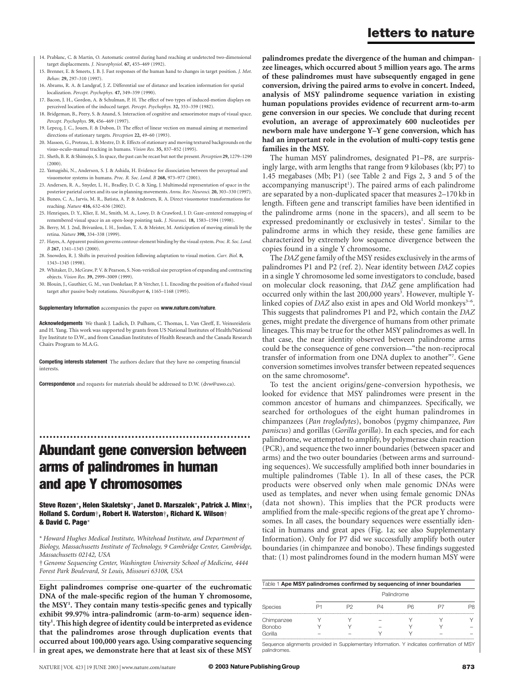- 14. Prablanc, C. & Martin, O. Automatic control during hand reaching at undetected two-dimensional target displacements. J. Neurophysiol. 67, 455–469 (1992).
- 15. Brenner, E. & Smeets, J. B. J. Fast responses of the human hand to changes in target position. J. Mot. Behav. 29, 297–310 (1997).
- 16. Abrams, R. A. & Landgraf, J. Z. Differential use of distance and location information for spatial localization. Percept. Psychophys. 47, 349–359 (1990).
- 17. Bacon, J. H., Gordon, A. & Schulman, P. H. The effect of two types of induced-motion displays on perceived location of the induced target. Percept. Psychophys. 32, 353–359 (1982).
- 18. Bridgeman, B., Peery, S. & Anand, S. Interaction of cognitive and sensorimotor maps of visual space. Percept. Psychophys. 59, 456–469 (1997).
- 19. Lepecq, J. C., Jouen, F. & Dubon, D. The effect of linear vection on manual aiming at memorized directions of stationary targets. Perception 22, 49–60 (1993).
- 20. Masson, G., Proteau, L. & Mestre, D. R. Effects of stationary and moving textured backgrounds on the visuo-oculo-manual tracking in humans. Vision Res. 35, 837–852 (1995).
- 21. Sheth, B. R. & Shimojo, S. In space, the past can be recast but not the present. Perception 29, 1279–1290 (2000).
- 22. Yamagishi, N., Anderson, S. J. & Ashida, H. Evidence for dissociation between the perceptual and visuomotor systems in humans. Proc. R. Soc. Lond. B 268, 973–977 (2001).
- 23. Andersen, R. A., Snyder, L. H., Bradley, D. C. & Xing, J. Multimodal representation of space in the posterior parietal cortex and its use in planning movements. Annu. Rev. Neurosci. 20, 303-330 (1997).
- 24. Buneo, C. A., Jarvis, M. R., Batista, A. P. & Andersen, R. A. Direct visuomotor transformations for reaching. Nature 416, 632–636 (2002).
- 25. Henriques, D. Y., Klier, E. M., Smith, M. A., Lowy, D. & Crawford, J. D. Gaze-centered remapping of remembered visual space in an open-loop pointing task. J. Neurosci. 18, 1583–1594 (1998).
- 26. Berry, M. J. 2nd, Brivanlou, I. H., Jordan, T. A. & Meister, M. Anticipation of moving stimuli by the retina. Nature 398, 334–338 (1999).
- 27. Hayes, A. Apparent position governs contour-element binding by the visual system. Proc. R. Soc. Lond. B 267, 1341–1345 (2000).
- 28. Snowden, R. J. Shifts in perceived position following adaptation to visual motion. Curr. Biol. 8, 1343–1345 (1998).
- 29. Whitaker, D., McGraw, P. V. & Pearson, S. Non-veridical size perception of expanding and contracting objects. Vision Res. 39, 2999–3009 (1999).
- 30. Blouin, J., Gauthier, G. M., van Donkelaar, P. & Vercher, J. L. Encoding the position of a flashed visual target after passive body rotations. NeuroReport 6, 1165–1168 (1995).

### Supplementary Information accompanies the paper on www.nature.com/nature.

Acknowledgements We thank J. Ladich, D. Pulham, C. Thomas, L. Van Cleeff, E. Veinsreideris and H. Yang. This work was supported by grants from US National Institutes of Health/National Eye Institute to D.W., and from Canadian Institutes of Health Research and the Canada Research Chairs Program to M.A.G.

Competing interests statement The authors declare that they have no competing financial interests.

Correspondence and requests for materials should be addressed to D.W. (dvw@uwo.ca).

# Abundant gene conversion between arms of palindromes in human and ape Y chromosomes

..............................................................

Steve Rozen\*, Helen Skaletsky\*, Janet D. Marszalek\*, Patrick J. Minx†, Holland S. Cordum†, Robert H. Waterston†, Richard K. Wilson† & David C. Page\*

\* Howard Hughes Medical Institute, Whitehead Institute, and Department of Biology, Massachusetts Institute of Technology, 9 Cambridge Center, Cambridge, Massachusetts 02142, USA

†Genome Sequencing Center, Washington University School of Medicine, 4444 Forest Park Boulevard, St Louis, Missouri 63108, USA .............................................................................................................................................................................

Eight palindromes comprise one-quarter of the euchromatic DNA of the male-specific region of the human Y chromosome, the MSY<sup>1</sup>. They contain many testis-specific genes and typically exhibit 99.97% intra-palindromic (arm-to-arm) sequence identity<sup>1</sup>. This high degree of identity could be interpreted as evidence that the palindromes arose through duplication events that occurred about 100,000 years ago. Using comparative sequencing in great apes, we demonstrate here that at least six of these MSY

palindromes predate the divergence of the human and chimpanzee lineages, which occurred about 5 million years ago. The arms of these palindromes must have subsequently engaged in gene conversion, driving the paired arms to evolve in concert. Indeed, analysis of MSY palindrome sequence variation in existing human populations provides evidence of recurrent arm-to-arm gene conversion in our species. We conclude that during recent evolution, an average of approximately 600 nucleotides per newborn male have undergone Y–Y gene conversion, which has had an important role in the evolution of multi-copy testis gene families in the MSY.

The human MSY palindromes, designated P1–P8, are surprisingly large, with arm lengths that range from 9 kilobases (kb; P7) to 1.45 megabases (Mb; P1) (see Table 2 and Figs 2, 3 and 5 of the accompanying manuscript<sup>1</sup>). The paired arms of each palindrome are separated by a non-duplicated spacer that measures 2–170 kb in length. Fifteen gene and transcript families have been identified in the palindrome arms (none in the spacers), and all seem to be expressed predominantly or exclusively in testes<sup>1</sup>. Similar to the palindrome arms in which they reside, these gene families are characterized by extremely low sequence divergence between the copies found in a single Y chromosome.

The DAZ gene family of the MSY resides exclusively in the arms of palindromes P1 and P2 (ref. 2). Near identity between DAZ copies in a single Y chromosome led some investigators to conclude, based on molecular clock reasoning, that DAZ gene amplification had occurred only within the last 200,000 years<sup>3</sup>. However, multiple Ylinked copies of  $DAZ$  also exist in apes and Old World monkeys<sup>3-6</sup>. This suggests that palindromes P1 and P2, which contain the DAZ genes, might predate the divergence of humans from other primate lineages. This may be true for the other MSY palindromes as well. In that case, the near identity observed between palindrome arms could be the consequence of gene conversion—"the non-reciprocal transfer of information from one DNA duplex to another"7. Gene conversion sometimes involves transfer between repeated sequences on the same chromosome<sup>8</sup>.

To test the ancient origins/gene-conversion hypothesis, we looked for evidence that MSY palindromes were present in the common ancestor of humans and chimpanzees. Specifically, we searched for orthologues of the eight human palindromes in chimpanzees (Pan troglodytes), bonobos (pygmy chimpanzee, Pan paniscus) and gorillas (Gorilla gorilla). In each species, and for each palindrome, we attempted to amplify, by polymerase chain reaction (PCR), and sequence the two inner boundaries (between spacer and arms) and the two outer boundaries (between arms and surrounding sequences). We successfully amplified both inner boundaries in multiple palindromes (Table 1). In all of these cases, the PCR products were observed only when male genomic DNAs were used as templates, and never when using female genomic DNAs (data not shown). This implies that the PCR products were amplified from the male-specific regions of the great ape Y chromosomes. In all cases, the boundary sequences were essentially identical in humans and great apes (Fig. 1a; see also Supplementary Information). Only for P7 did we successfully amplify both outer boundaries (in chimpanzee and bonobo). These findings suggested that: (1) most palindromes found in the modern human MSY were

| Table 1 Ape MSY palindromes confirmed by sequencing of inner boundaries |            |  |  |    |  |  |  |  |  |  |
|-------------------------------------------------------------------------|------------|--|--|----|--|--|--|--|--|--|
| Species                                                                 | Palindrome |  |  |    |  |  |  |  |  |  |
|                                                                         |            |  |  | Pĥ |  |  |  |  |  |  |
| Chimpanzee                                                              |            |  |  |    |  |  |  |  |  |  |
| <b>Bonobo</b>                                                           |            |  |  |    |  |  |  |  |  |  |
| Gorilla                                                                 |            |  |  |    |  |  |  |  |  |  |

Sequence alignments provided in Supplementary Information. Y indicates confirmation of MSY palindromes.

### letters to nature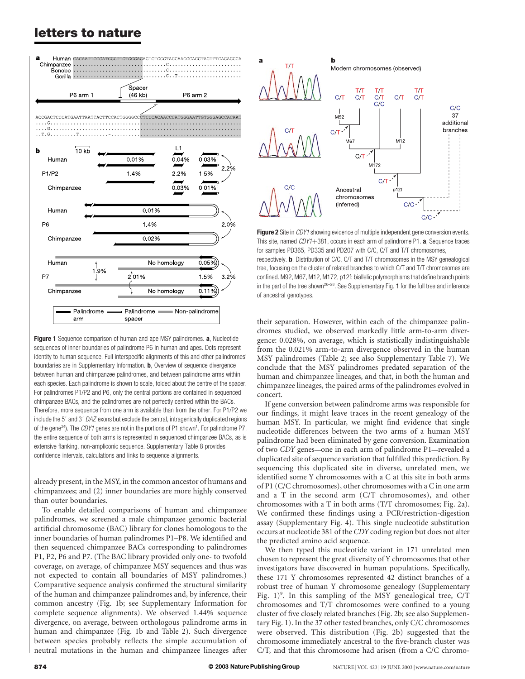## letters to nature



Figure 1 Sequence comparison of human and ape MSY palindromes. a, Nucleotide sequences of inner boundaries of palindrome P6 in human and apes. Dots represent identity to human sequence. Full interspecific alignments of this and other palindromes' boundaries are in Supplementary Information. **b**, Overview of sequence divergence between human and chimpanzee palindromes, and between palindrome arms within each species. Each palindrome is shown to scale, folded about the centre of the spacer. For palindromes P1/P2 and P6, only the central portions are contained in sequenced chimpanzee BACs, and the palindromes are not perfectly centred within the BACs. Therefore, more sequence from one arm is available than from the other. For P1/P2 we include the 5' and 3' DAZ exons but exclude the central, intragenically duplicated regions of the gene<sup>24</sup>). The CDY1 genes are not in the portions of P1 shown<sup>1</sup>. For palindrome P7, the entire sequence of both arms is represented in sequenced chimpanzee BACs, as is extensive flanking, non-ampliconic sequence. Supplementary Table 8 provides confidence intervals, calculations and links to sequence alignments.

already present, in the MSY, in the common ancestor of humans and chimpanzees; and (2) inner boundaries are more highly conserved than outer boundaries.

To enable detailed comparisons of human and chimpanzee palindromes, we screened a male chimpanzee genomic bacterial artificial chromosome (BAC) library for clones homologous to the inner boundaries of human palindromes P1–P8. We identified and then sequenced chimpanzee BACs corresponding to palindromes P1, P2, P6 and P7. (The BAC library provided only one- to twofold coverage, on average, of chimpanzee MSY sequences and thus was not expected to contain all boundaries of MSY palindromes.) Comparative sequence analysis confirmed the structural similarity of the human and chimpanzee palindromes and, by inference, their common ancestry (Fig. 1b; see Supplementary Information for complete sequence alignments). We observed 1.44% sequence divergence, on average, between orthologous palindrome arms in human and chimpanzee (Fig. 1b and Table 2). Such divergence between species probably reflects the simple accumulation of neutral mutations in the human and chimpanzee lineages after



Figure 2 Site in CDY1 showing evidence of multiple independent gene conversion events. This site, named  $CDY1+381$ , occurs in each arm of palindrome P1.  $a$ , Sequence traces for samples PD365, PD335 and PD207 with C/C, C/T and T/T chromosomes, respectively. **b**, Distribution of C/C, C/T and T/T chromosomes in the MSY genealogical tree, focusing on the cluster of related branches to which C/T and T/T chromosomes are confined. M92, M67, M12, M172, p12f: biallelic polymorphisms that define branch points in the part of the tree shown<sup>26-28</sup>. See Supplementary Fig. 1 for the full tree and inference of ancestral genotypes.

their separation. However, within each of the chimpanzee palindromes studied, we observed markedly little arm-to-arm divergence: 0.028%, on average, which is statistically indistinguishable from the 0.021% arm-to-arm divergence observed in the human MSY palindromes (Table 2; see also Supplementary Table 7). We conclude that the MSY palindromes predated separation of the human and chimpanzee lineages, and that, in both the human and chimpanzee lineages, the paired arms of the palindromes evolved in concert.

If gene conversion between palindrome arms was responsible for our findings, it might leave traces in the recent genealogy of the human MSY. In particular, we might find evidence that single nucleotide differences between the two arms of a human MSY palindrome had been eliminated by gene conversion. Examination of two CDY genes—one in each arm of palindrome P1—revealed a duplicated site of sequence variation that fulfilled this prediction. By sequencing this duplicated site in diverse, unrelated men, we identified some Y chromosomes with a C at this site in both arms of P1 (C/C chromosomes), other chromosomes with a C in one arm and a T in the second arm (C/T chromosomes), and other chromosomes with a T in both arms (T/T chromosomes; Fig. 2a). We confirmed these findings using a PCR/restriction-digestion assay (Supplementary Fig. 4). This single nucleotide substitution occurs at nucleotide 381 of the CDY coding region but does not alter the predicted amino acid sequence.

We then typed this nucleotide variant in 171 unrelated men chosen to represent the great diversity of Y chromosomes that other investigators have discovered in human populations. Specifically, these 171 Y chromosomes represented 42 distinct branches of a robust tree of human Y chromosome genealogy (Supplementary Fig. 1)<sup>9</sup>. In this sampling of the MSY genealogical tree, C/T chromosomes and T/T chromosomes were confined to a young cluster of five closely related branches (Fig. 2b; see also Supplementary Fig. 1). In the 37 other tested branches, only C/C chromosomes were observed. This distribution (Fig. 2b) suggested that the chromosome immediately ancestral to the five-branch cluster was C/T, and that this chromosome had arisen (from a C/C chromo-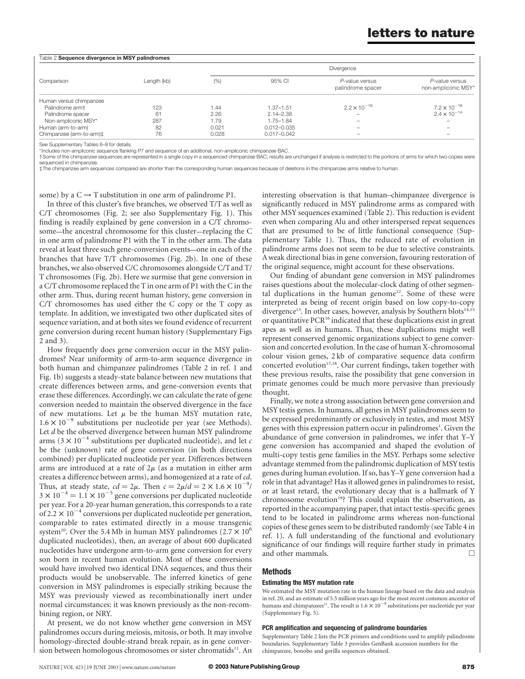## letters to nature

| Table 2 Sequence divergence in MSY palindromes |             |            |                 |                                     |                                       |  |  |  |
|------------------------------------------------|-------------|------------|-----------------|-------------------------------------|---------------------------------------|--|--|--|
| Comparison                                     | Length (kb) | Divergence |                 |                                     |                                       |  |  |  |
|                                                |             | (% )       | 95% CI          | P-value versus<br>palindrome spacer | P-value versus<br>non-ampliconic MSY* |  |  |  |
| Human versus chimpanzee                        |             |            |                 |                                     |                                       |  |  |  |
| Palindrome arm+                                | 123         | 1.44       | $1.37 - 1.51$   | $2.2 \times 10^{-16}$               | $7.2 \times 10^{-16}$                 |  |  |  |
| Palindrome spacer                              | 61          | 2.26       | $2.14 - 2.38$   |                                     | $2.4 \times 10^{-14}$                 |  |  |  |
| Non-ampliconic MSY*                            | 287         | 1.79       | 1.75-1.84       | $\overline{\phantom{a}}$            |                                       |  |  |  |
| Human (arm-to-arm)                             | 82          | 0.021      | 0.012-0.035     |                                     |                                       |  |  |  |
| Chimpanzee (arm-to-arm)#                       | 76          | 0.028      | $0.017 - 0.042$ | $\hspace{0.05cm}$                   | $\overline{\phantom{a}}$              |  |  |  |

See Supplementary Tables 6–8 for details

\*Includes non-ampliconic sequence flanking P7 and sequence of an additional, non-ampliconic chimpanzee BAC.

†Some of the chimpanzee sequences are represented in a single copy in a sequenced chimpanzee BAC; results are unchanged if analysis is restricted to the portions of arms for which two copies were sequenced in chimpanzee.

‡The chimpanzee arm sequences compared are shorter than the corresponding human sequences because of deletions in the chimpanzee arms relative to human.

some) by a  $C \rightarrow T$  substitution in one arm of palindrome P1.

In three of this cluster's five branches, we observed T/T as well as C/T chromosomes (Fig. 2; see also Supplementary Fig. 1). This finding is readily explained by gene conversion in a C/T chromosome—the ancestral chromosome for this cluster—replacing the C in one arm of palindrome P1 with the T in the other arm. The data reveal at least three such gene-conversion events—one in each of the branches that have T/T chromosomes (Fig. 2b). In one of these branches, we also observed C/C chromosomes alongside C/Tand T/ T chromosomes (Fig. 2b). Here we surmise that gene conversion in a C/T chromosome replaced the T in one arm of P1 with the C in the other arm. Thus, during recent human history, gene conversion in C/T chromosomes has used either the C copy or the T copy as template. In addition, we investigated two other duplicated sites of sequence variation, and at both sites we found evidence of recurrent gene conversion during recent human history (Supplementary Figs 2 and 3).

How frequently does gene conversion occur in the MSY palindromes? Near uniformity of arm-to-arm sequence divergence in both human and chimpanzee palindromes (Table 2 in ref. 1 and Fig. 1b) suggests a steady-state balance between new mutations that create differences between arms, and gene-conversion events that erase these differences. Accordingly, we can calculate the rate of gene conversion needed to maintain the observed divergence in the face of new mutations. Let  $\mu$  be the human MSY mutation rate,  $1.6 \times 10^{-9}$  substitutions per nucleotide per year (see Methods). Let *d* be the observed divergence between human MSY palindrome arms (3  $\times$  10<sup>-4</sup> substitutions per duplicated nucleotide), and let c be the (unknown) rate of gene conversion (in both directions combined) per duplicated nucleotide per year. Differences between arms are introduced at a rate of  $2\mu$  (as a mutation in either arm creates a difference between arms), and homogenized at a rate of cd. Thus, at steady state,  $cd = 2\mu$ . Then  $c = 2\mu/d = 2 \times 1.6 \times 10^{-9}/$  $3 \times 10^{-4} = 1.1 \times 10^{-5}$  gene conversions per duplicated nucleotide per year. For a 20-year human generation, this corresponds to a rate of 2.2  $\times$  10<sup>-4</sup> conversions per duplicated nucleotide per generation, comparable to rates estimated directly in a mouse transgenic system<sup>10</sup>. Over the 5.4 Mb in human MSY palindromes (2.7  $\times$  10<sup>6</sup>) duplicated nucleotides), then, an average of about 600 duplicated nucleotides have undergone arm-to-arm gene conversion for every son born in recent human evolution. Most of these conversions would have involved two identical DNA sequences, and thus their products would be unobservable. The inferred kinetics of gene conversion in MSY palindromes is especially striking because the MSY was previously viewed as recombinationally inert under normal circumstances: it was known previously as the non-recombining region, or NRY.

At present, we do not know whether gene conversion in MSY palindromes occurs during meiosis, mitosis, or both. It may involve homology-directed double-strand break repair, as in gene conversion between homologous chromosomes or sister chromatids<sup>11</sup>. An

interesting observation is that human–chimpanzee divergence is significantly reduced in MSY palindrome arms as compared with other MSY sequences examined (Table 2). This reduction is evident even when comparing Alu and other interspersed repeat sequences that are presumed to be of little functional consequence (Supplementary Table 1). Thus, the reduced rate of evolution in palindrome arms does not seem to be due to selective constraints. A weak directional bias in gene conversion, favouring restoration of the original sequence, might account for these observations.

Our finding of abundant gene conversion in MSY palindromes raises questions about the molecular-clock dating of other segmental duplications in the human genome<sup>12</sup>. Some of these were interpreted as being of recent origin based on low copy-to-copy divergence<sup>13</sup>. In other cases, however, analysis by Southern blots<sup>14,15</sup> or quantitative  $PCR^{16}$  indicated that these duplications exist in great apes as well as in humans. Thus, these duplications might well represent conserved genomic organizations subject to gene conversion and concerted evolution. In the case of human X-chromosomal colour vision genes, 2 kb of comparative sequence data confirm concerted evolution<sup>17,18</sup>. Our current findings, taken together with these previous results, raise the possibility that gene conversion in primate genomes could be much more pervasive than previously thought.

Finally, we note a strong association between gene conversion and MSY testis genes. In humans, all genes in MSY palindromes seem to be expressed predominantly or exclusively in testes, and most MSY genes with this expression pattern occur in palindromes<sup>1</sup>. Given the abundance of gene conversion in palindromes, we infer that Y–Y gene conversion has accompanied and shaped the evolution of multi-copy testis gene families in the MSY. Perhaps some selective advantage stemmed from the palindromic duplication of MSY testis genes during human evolution. If so, has Y–Y gene conversion had a role in that advantage? Has it allowed genes in palindromes to resist, or at least retard, the evolutionary decay that is a hallmark of Y chromosome evolution<sup>19</sup>? This could explain the observation, as reported in the accompanying paper, that intact testis-specific genes tend to be located in palindrome arms whereas non-functional copies of these genes seem to be distributed randomly (see Table 4 in ref. 1). A full understanding of the functional and evolutionary significance of our findings will require further study in primates and other mammals.  $\Box$ 

### Methods

### Estimating the MSY mutation rate

We estimated the MSY mutation rate in the human lineage based on the data and analysis in ref. 20, and an estimate of 5.5 million years ago for the most recent common ancestor of humans and chimpanzees<sup>21</sup>. The result is  $1.6 \times 10^{-9}$  substitutions per nucleotide per year (Supplementary Fig. 5).

#### PCR amplification and sequencing of palindrome boundaries

Supplementary Table 2 lists the PCR primers and conditions used to amplify palindrome boundaries. Supplementary Table 3 provides GenBank accession numbers for the chimpanzee, bonobo and gorilla sequences obtained.